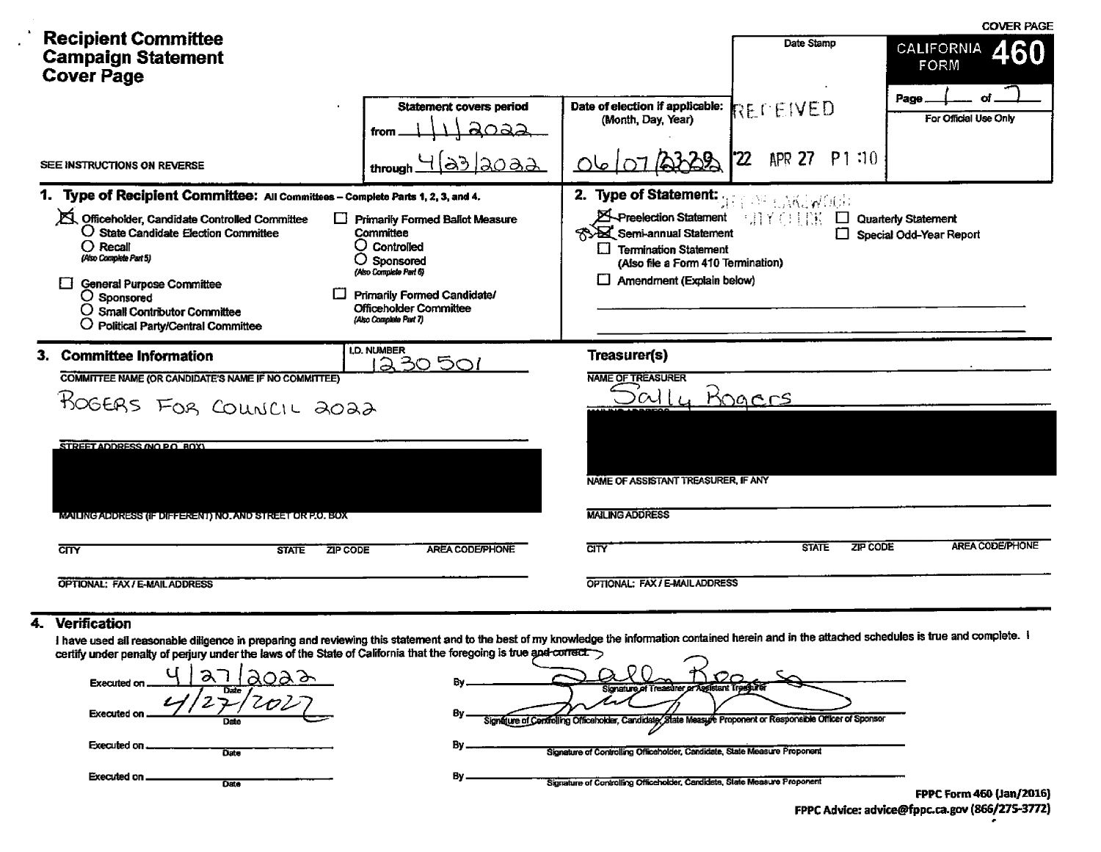|                                                                                                                                                                                                                                                                                                                                                               |                                                                                                                                                                                                                 |                                                                                                                                                                                                                      |                            | <b>COVER PAGE</b>                                     |
|---------------------------------------------------------------------------------------------------------------------------------------------------------------------------------------------------------------------------------------------------------------------------------------------------------------------------------------------------------------|-----------------------------------------------------------------------------------------------------------------------------------------------------------------------------------------------------------------|----------------------------------------------------------------------------------------------------------------------------------------------------------------------------------------------------------------------|----------------------------|-------------------------------------------------------|
| <b>Recipient Committee</b><br><b>Campaign Statement</b><br><b>Cover Page</b>                                                                                                                                                                                                                                                                                  |                                                                                                                                                                                                                 |                                                                                                                                                                                                                      | Date Stamp                 | <b>CALIFORNIA</b><br>60<br>FORM                       |
|                                                                                                                                                                                                                                                                                                                                                               | <b>Statement covers period</b><br>from                                                                                                                                                                          | Date of election if applicable:<br>(Month, Day, Year)                                                                                                                                                                | REFEIVED<br>P1:10          | Page<br>For Official Use Only                         |
| SEE INSTRUCTIONS ON REVERSE                                                                                                                                                                                                                                                                                                                                   | <u>laoaa</u><br>through                                                                                                                                                                                         |                                                                                                                                                                                                                      | $\boldsymbol{z}$<br>APR 27 |                                                       |
| 1. Type of Recipient Committee: All Committees - Complete Parts 1, 2, 3, and 4.<br>S. Officeholder, Candidate Controlled Committee<br>O State Candidate Election Committee<br>$\bigcirc$ Recall<br>(Also Complete Part 5)<br><b>General Purpose Committee</b><br>O Sponsored<br>$\bigcirc$ Small Contributor Committee<br>O Political Party/Central Committee | <b>Primarily Formed Ballot Measure</b><br>Committee<br>$\bigcirc$ Controlled<br>O Sponsored<br>(Also Complete Part 6)<br>Primarily Formed Candidate/<br><b>Officeholder Committee</b><br>(Also Complete Part 7) | 2. Type of Statement: A Report of the<br><b>X</b> -Preelection Statement<br><b>SA Semi-annual Statement</b><br><b>Termination Statement</b><br>IJ<br>(Also file a Form 410 Termination)<br>Amendment (Explain below) | 三月半〇月郎                     | <b>Quarterly Statement</b><br>Special Odd-Year Report |
| 3. Committee Information<br><b>COMMITTEE NAME (OR CANDIDATE'S NAME IF NO COMMITTEE)</b><br>ROGERS FOR COUNCIL 2022<br>STREET ADDRESS (NO PO BOX)<br>MAILING ADDRESS (IF DIFFERENT) NO. AND STREET OR P.O. BOX                                                                                                                                                 | <b>I.D. NUMBER</b><br>230501                                                                                                                                                                                    | Treasurer(s)<br><b>NAME OF TREASURER</b><br>M<br>NAME OF ASSISTANT TREASURER, IF ANY<br><b>MAILING ADDRESS</b>                                                                                                       | <u>Mogars</u>              |                                                       |
| <b>CITY</b><br><b>ZIP CODE</b><br><b>STATE</b>                                                                                                                                                                                                                                                                                                                | AREA CODE/PHONE                                                                                                                                                                                                 | <b>CITY</b>                                                                                                                                                                                                          | ZIP CODE<br><b>STATE</b>   | AREA CODE/PHONE                                       |
| <b>OPTIONAL: FAX / E-MAIL ADDRESS</b>                                                                                                                                                                                                                                                                                                                         |                                                                                                                                                                                                                 | OPTIONAL: FAX / E-MAIL ADDRESS                                                                                                                                                                                       |                            |                                                       |

## 4. Verification

 $\bullet$  $\cdot$ 

I have used all reasonable diligence in preparing and reviewing this statement and to the best of my knowledge the information contained herein and in the attached schedules is true and complete. I<br>certify under penalty of

| <b>Executed on</b><br>Date | Signature of Treasurer or Assistant Treasurer                                                              |                             |
|----------------------------|------------------------------------------------------------------------------------------------------------|-----------------------------|
| Executed on<br>Date        | Signature of Centrolling Officeholder, Candidate/State Measure Proponent or Responsible Officer of Sponsor |                             |
| Executed on<br>Date        | Signature of Controlling Officeholder, Candidate, State Measure Proponent                                  |                             |
| Executed on.<br>Date       | B٧<br>Signature of Controlling Officeholder, Candidate, State Measure Proponent                            | <b>EDDC Form 460 (Jan/2</b> |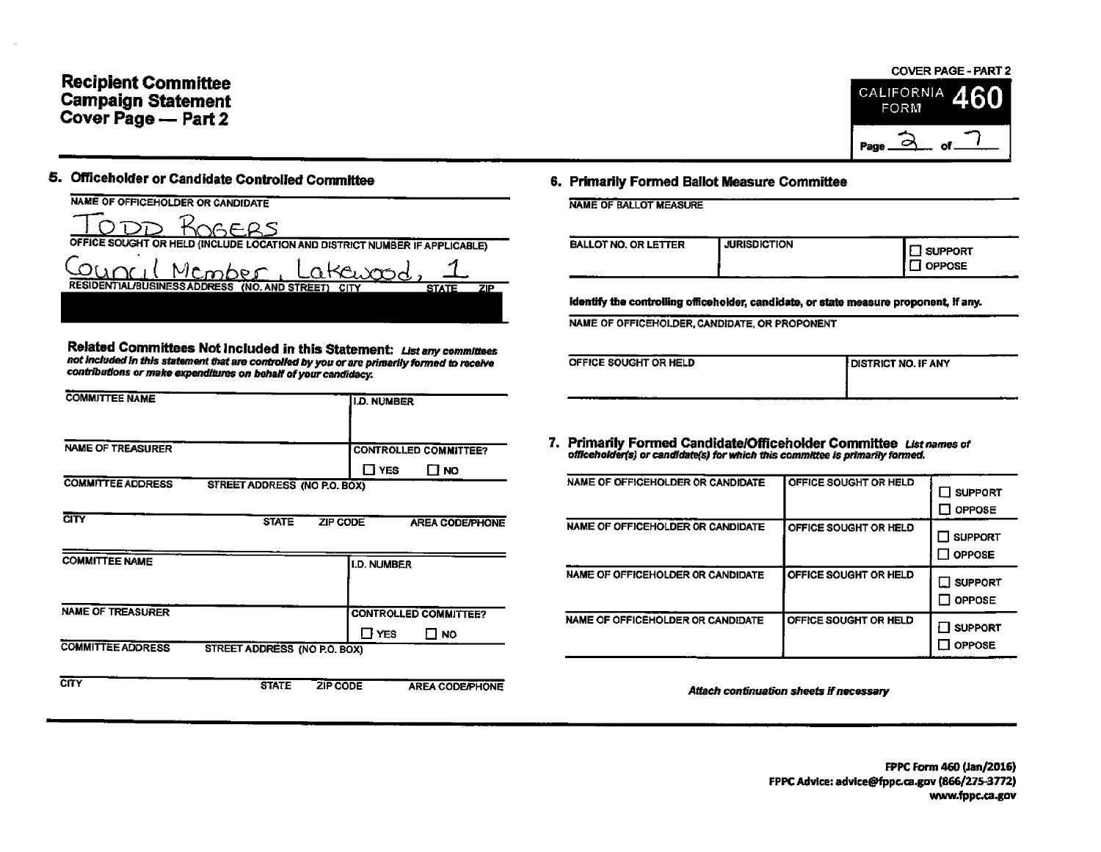## **Recipient Committee Campaign Statement** Cover Page - Part 2

#### **COVER PAGE - PART 2**



## 5. Officeholder or Candidate Controlled Committee

| NAME OF OFFICEHOLDER OR CANDIDATE                                          |              |      |
|----------------------------------------------------------------------------|--------------|------|
| KOGERS                                                                     |              |      |
| OFFICE SOUGHT OR HELD (INCLUDE LOCATION AND DISTRICT NUMBER IF APPLICABLE) |              |      |
| Council Member, Latewood                                                   |              |      |
| RESIDENTIAL/BUSINESS ADDRESS (NO. AND STREET)                              | <b>STATE</b> | 7IP. |
|                                                                            |              |      |
|                                                                            |              |      |

Related Committees Not Included in this Statement: List any committees not included in this statement that are controlled by you or are primarily formed to receive contributions or make expenditures on behalf of your candidacy.

| <b>COMMITTEE NAME</b>    |                              | <b>I.D. NUMBER</b> |                              |
|--------------------------|------------------------------|--------------------|------------------------------|
| <b>NAME OF TREASURER</b> |                              |                    | <b>CONTROLLED COMMITTEE?</b> |
| <b>COMMITTEE ADDRESS</b> | STREET ADDRESS (NO P.O. BOX) | <b>TI YES</b>      | <b>NO</b>                    |
| CITY                     | <b>STATE</b>                 | <b>ZIP CODE</b>    | <b>AREA CODE/PHONE</b>       |
| <b>COMMITTEE NAME</b>    |                              | <b>I.D. NUMBER</b> |                              |
| <b>NAME OF TREASURER</b> |                              |                    | <b>CONTROLLED COMMITTEE?</b> |
| <b>COMMITTEE ADDRESS</b> | STREET ADDRESS (NO P.O. BOX) | Π YES              | ⊟ мо                         |
| <b>CITY</b>              | <b>STATE</b>                 | <b>ZIP CODE</b>    | <b>AREA CODE/PHONE</b>       |

#### 6. Primarily Formed Ballot Measure Committee

**NAME OF BALLOT MEASURE** 

| <b>BALLOT NO. OR LETTER</b> | <b>JURISDICTION</b> | <b>SUPPORT</b><br>I OPPOSE |
|-----------------------------|---------------------|----------------------------|
| .                           |                     | $-$                        |

identify the controlling officeholder, candidate, or state measure proponent, if any.

NAME OF OFFICEHOLDER, CANDIDATE, OR PROPONENT

| OFFICE SOUGHT OR HELD<br><b>I DISTRICT NO. IF ANY</b> |  |
|-------------------------------------------------------|--|
|                                                       |  |
|                                                       |  |

7. Primarily Formed Candidate/Officeholder Committee List names of officeholder(s) or candidate(s) for which this committee is primarily formed.

| NAME OF OFFICEHOLDER OR CANDIDATE | OFFICE SOUGHT OR HELD        | <b>SUPPORT</b><br><b>OPPOSE</b>   |
|-----------------------------------|------------------------------|-----------------------------------|
| NAME OF OFFICEHOLDER OR CANDIDATE | OFFICE SOUGHT OR HELD        | <b>SUPPORT</b><br><b>OPPOSE</b>   |
| NAME OF OFFICEHOLDER OR CANDIDATE | <b>OFFICE SOUGHT OR HELD</b> | <b>□ SUPPORT</b><br><b>OPPOSE</b> |
| NAME OF OFFICEHOLDER OR CANDIDATE | OFFICE SOUGHT OR HELD        | <b>SUPPORT</b><br><b>OPPOSE</b>   |

Attach continuation sheets if necessary

FPPC Form 460 (Jan/2016) FPPC Advice: advice@fppc.ca.gov (866/275-3772) www.fppc.ca.gov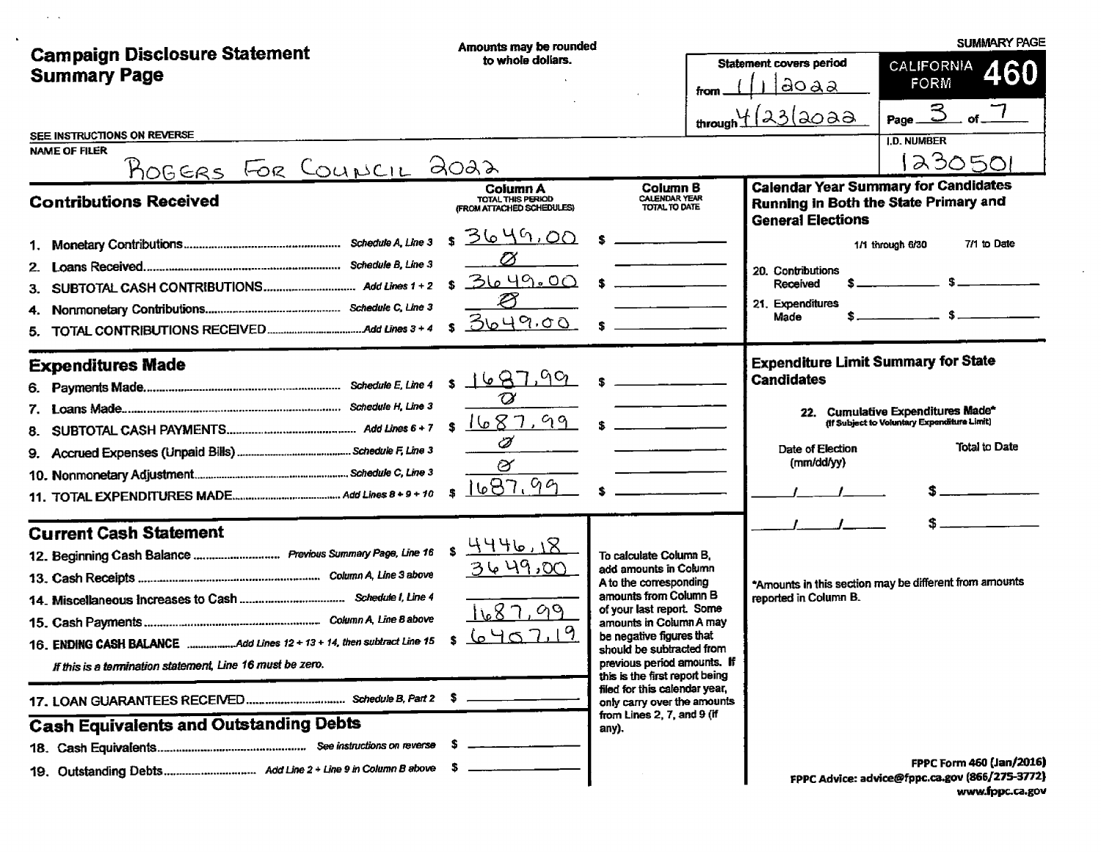|                                                                                | Amounts may be rounded                                            |                                                                 |  |                                                                 | <b>SUMMARY PAGE</b>                                                                  |
|--------------------------------------------------------------------------------|-------------------------------------------------------------------|-----------------------------------------------------------------|--|-----------------------------------------------------------------|--------------------------------------------------------------------------------------|
| <b>Campaign Disclosure Statement</b><br><b>Summary Page</b>                    | to whole dollars.                                                 | from                                                            |  | <b>Statement covers period</b><br>aoaa                          | CALIFORNIA<br><b>460</b><br><b>FORM</b>                                              |
|                                                                                |                                                                   |                                                                 |  | $m \frac{4}{23}$ and $a \ge 3$                                  | $_{\rm of}$ $\overline{7}$<br>Page.                                                  |
| SEE INSTRUCTIONS ON REVERSE<br><b>NAME OF FILER</b><br>ROGERS FOR COUNCIL 2022 |                                                                   |                                                                 |  |                                                                 | <b>I.D. NUMBER</b><br>230501                                                         |
| <b>Contributions Received</b>                                                  | <b>Column A</b><br>TOTAL THIS PERIOD<br>(FROM ATTACHED SCHEDULES) | <b>Column B</b><br><b>CALENDAR YEAR</b><br><b>TOTAL TO DATE</b> |  | <b>General Elections</b>                                        | <b>Calendar Year Summary for Candidates</b><br>Running in Both the State Primary and |
|                                                                                | <u>3649,00</u><br>\$                                              |                                                                 |  |                                                                 | 7/1 to Date<br>1/1 through 6/30                                                      |
|                                                                                | Ø<br>3649.00                                                      |                                                                 |  | 20. Contributions                                               |                                                                                      |
| З.                                                                             | S.<br>∅                                                           |                                                                 |  | Received<br>21. Expenditures                                    |                                                                                      |
|                                                                                | <u> 3649.00.</u>                                                  |                                                                 |  | Made                                                            |                                                                                      |
| <b>Expenditures Made</b><br>6.                                                 |                                                                   |                                                                 |  | <b>Expenditure Limit Summary for State</b><br><b>Candidates</b> |                                                                                      |
|                                                                                | $\varnothing$                                                     |                                                                 |  |                                                                 | 22. Cumulative Expenditures Made*                                                    |
| 8.                                                                             | 1687.99<br>Ï                                                      |                                                                 |  |                                                                 | <b>Iff Subject to Voluntary Expenditure Limit)</b>                                   |
|                                                                                | Ø                                                                 |                                                                 |  | Date of Election<br>(mm/dd/yy)                                  | Total to Date                                                                        |
|                                                                                | 687.99                                                            |                                                                 |  |                                                                 |                                                                                      |
| <b>Current Cash Statement</b>                                                  |                                                                   |                                                                 |  |                                                                 |                                                                                      |
| 12. Beginning Cash Balance Previous Summary Page, Line 16                      | 84446.18                                                          | To calculate Column B,                                          |  |                                                                 |                                                                                      |
|                                                                                | <u>3649,00</u>                                                    | add amounts in Column<br>A to the corresponding                 |  |                                                                 | *Amounts in this section may be different from amounts                               |
|                                                                                |                                                                   | amounts from Column B<br>of your last report. Some              |  | reported in Column B.                                           |                                                                                      |
|                                                                                | 1687.99                                                           | amounts in Column A may                                         |  |                                                                 |                                                                                      |
| 16. ENDING CASH BALANCE Add Lines 12 + 13 + 14, then subtract Line 15          | 6407.19                                                           | be negative figures that<br>should be subtracted from           |  |                                                                 |                                                                                      |
| If this is a termination statement, Line 16 must be zero.                      |                                                                   | previous period amounts. If<br>this is the first report being   |  |                                                                 |                                                                                      |
|                                                                                |                                                                   | filed for this calendar year,<br>only carry over the amounts    |  |                                                                 |                                                                                      |
| <b>Cash Equivalents and Outstanding Debts</b>                                  |                                                                   | from Lines 2, 7, and 9 (if<br>any).                             |  |                                                                 |                                                                                      |
|                                                                                |                                                                   |                                                                 |  |                                                                 |                                                                                      |
|                                                                                |                                                                   |                                                                 |  |                                                                 | FPPC Form 460 (Jan/2016)<br>FPPC Advice: advice@fppc.ca.gov (866/275-3772)           |

 $\mathcal{L}^{\text{max}}_{\text{max}}$  , where  $\mathcal{L}^{\text{max}}_{\text{max}}$ 

www.fppc.ca.gov

 $\sim$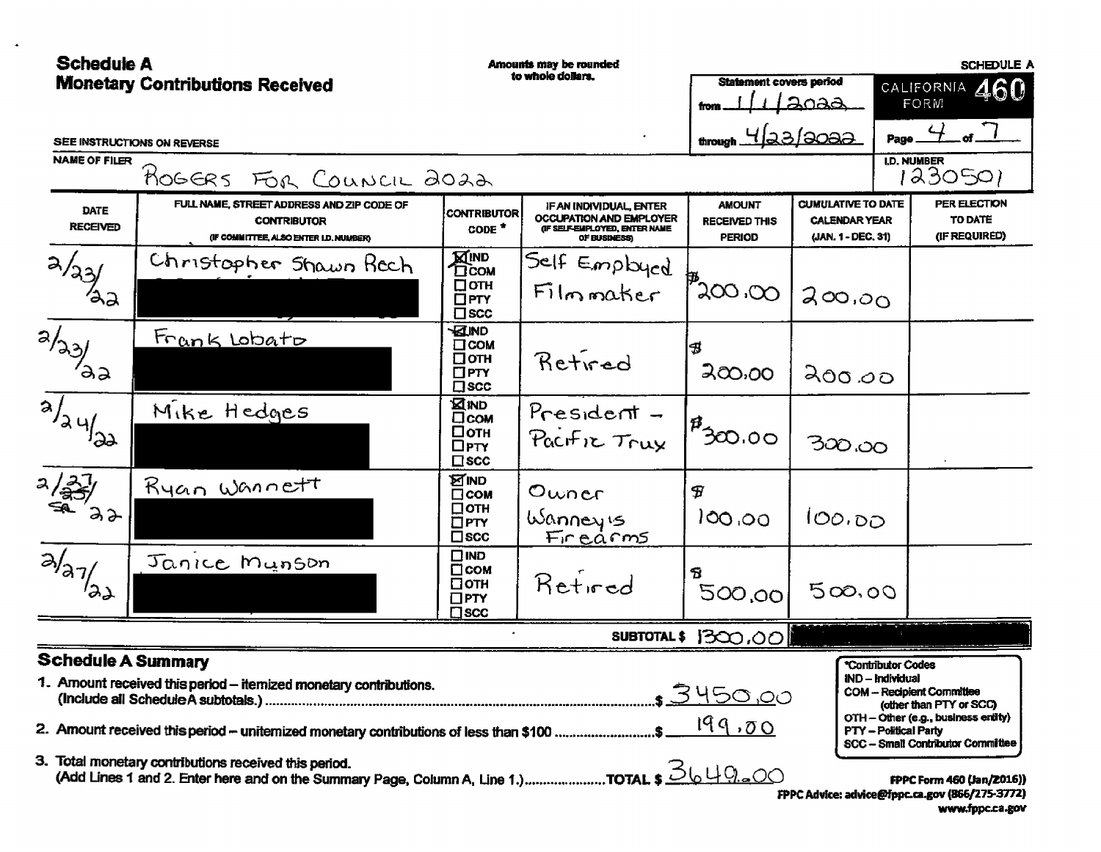| <b>Schedule A</b>          |                                                                                                                                                                | Amounts may be rounded                                           |                                                                                                            |                                                        |                                                                         | <b>SCHEDULE A</b>                                                             |                                                                                                                                         |
|----------------------------|----------------------------------------------------------------------------------------------------------------------------------------------------------------|------------------------------------------------------------------|------------------------------------------------------------------------------------------------------------|--------------------------------------------------------|-------------------------------------------------------------------------|-------------------------------------------------------------------------------|-----------------------------------------------------------------------------------------------------------------------------------------|
|                            | <b>Monetary Contributions Received</b>                                                                                                                         |                                                                  | to whole dollars.                                                                                          | <b>Statement covers period</b><br>fron                 | <u> 2023 - </u>                                                         |                                                                               | 460<br>CALIFORNIA<br>FORM                                                                                                               |
|                            | SEE INSTRUCTIONS ON REVERSE                                                                                                                                    |                                                                  |                                                                                                            | $t_{\text{trought}}$ 4/23/3032                         |                                                                         |                                                                               | Page $4$                                                                                                                                |
| <b>NAME OF FILER</b>       | ROGERS FOR COUNCIL 2022                                                                                                                                        |                                                                  |                                                                                                            |                                                        |                                                                         | I,D, NUMBER                                                                   | 1230501                                                                                                                                 |
| DATE<br><b>RECEIVED</b>    | FULL NAME, STREET ADDRESS AND ZIP CODE OF<br><b>CONTRIBUTOR</b><br>(IF COMMITTEE, ALSO ENTER I.D. NUMBER)                                                      | <b>CONTRIBUTOR</b><br>CODE <sup>*</sup>                          | <b>IF AN INDIVIDUAL, ENTER</b><br>OCCUPATION AND EMPLOYER<br>(IF SELF-EMPLOYED, ENTER NAME<br>OF BUSINESS) | <b>AMOUNT</b><br><b>RECEIVED THIS</b><br><b>PERIOD</b> | <b>CUMULATIVE TO DATE</b><br><b>CALENDAR YEAR</b><br>(JAN. 1 - DEC. 31) |                                                                               | PER ELECTION<br>TO DATE<br>(IF REQUIRED)                                                                                                |
| a/23/                      | Christopher Shawn Kech                                                                                                                                         | <b>KIND</b><br>DCOM<br>□отн<br>$\Box$ PTY<br>$\square$ scc       | Self Employed<br>Filmmaker                                                                                 | $\mathbb{P}_{200,00}$                                  | 200,00                                                                  |                                                                               |                                                                                                                                         |
| <b>Alger</b>               | <u>Frank Lobato</u>                                                                                                                                            | <b>KEIND</b><br>□сом<br>□отн<br>$\Box$ PTY<br>$\square$ scc      | Retired                                                                                                    | B<br>200,00                                            | 200.00                                                                  |                                                                               |                                                                                                                                         |
| <b>ALLIE</b>               | Mike Hedges                                                                                                                                                    | <b>XIND</b><br>□сом<br>□отн<br>$\Box$ PTY<br>$\square$ scc       | $Presdent -$<br>Pacific Trux                                                                               | $\boldsymbol{\beta}$<br>30.00                          | 300.00                                                                  |                                                                               |                                                                                                                                         |
| $\frac{2}{3}$<br>$\lambda$ | Ryan Wannett                                                                                                                                                   | <b>MIND</b><br>$\Box$ COM<br>□отн<br>$\Box$ PTY<br>$\square$ scc | Owner<br>Wanneyis<br>Finearms                                                                              | F<br>100.00                                            | 100.00                                                                  |                                                                               |                                                                                                                                         |
| $\overline{a}/a$           | Janice Munson                                                                                                                                                  | $\square$ IND<br>⊡сом<br>⊡отн<br>$\Box$ PTY<br>$\square$ scc     | Retired                                                                                                    | Я<br>500,00                                            | 500.00                                                                  |                                                                               |                                                                                                                                         |
|                            |                                                                                                                                                                |                                                                  |                                                                                                            | SUBTOTAL \$ 1300,00                                    |                                                                         |                                                                               |                                                                                                                                         |
| <b>Schedule A Summary</b>  | 1. Amount received this period - itemized monetary contributions.<br>2. Amount received this period – uniternized monetary contributions of less than \$100 \$ |                                                                  |                                                                                                            | <u> 3450,0</u> 0<br>199.00                             |                                                                         | *Contributor Codes<br><b>IND – Individual</b><br><b>PTY - Political Party</b> | <b>COM - Recipient Committee</b><br>(other than PTY or SCC)<br>OTH - Other (e.g., business entity)<br>SCC - Small Contributor Committee |
|                            | 3. Total monetary contributions received this period.                                                                                                          |                                                                  |                                                                                                            |                                                        |                                                                         |                                                                               | FPPC Form 460 (Jan/2016))<br>FPPC Advice: advice@fppc.ca.gov (866/275-3772)<br>www.fppc.ca.gov                                          |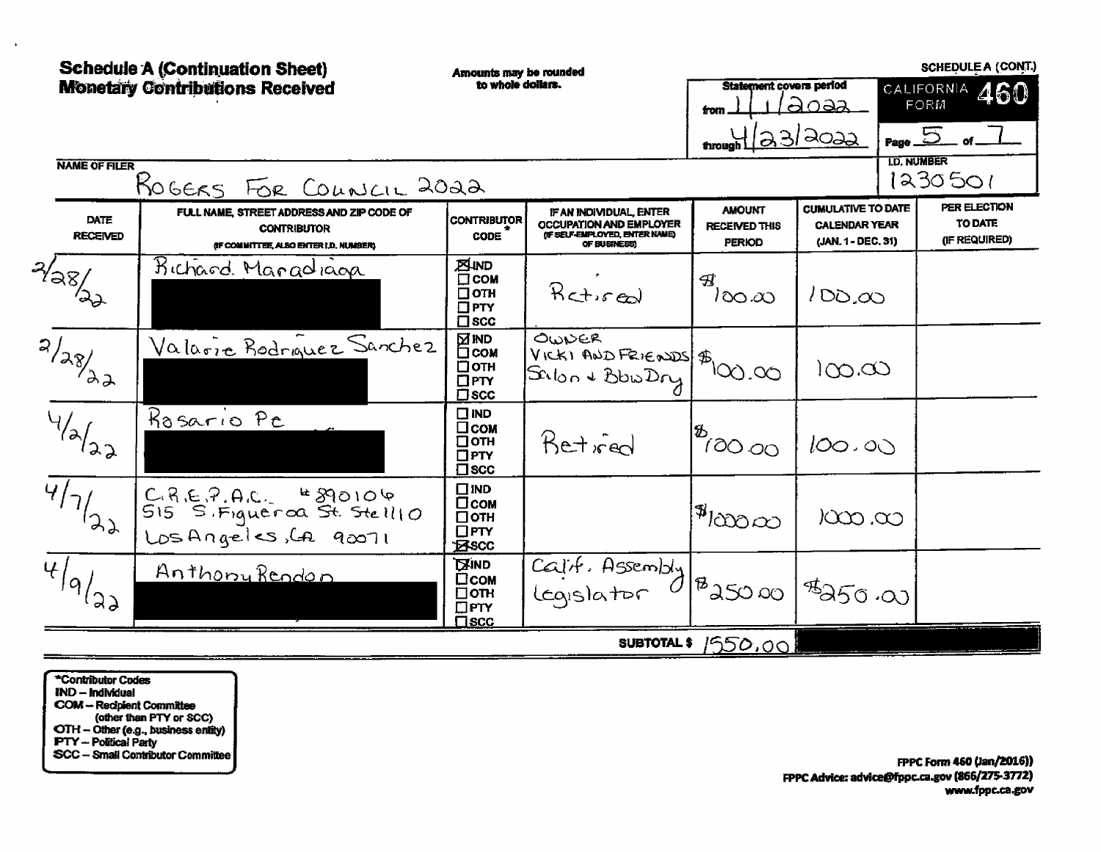### **CONEDUIEA (CONT)**

|                                                  | <b>Schedule A (Continuation Sheet)</b>                                                                    | Amounts may be rounded                                                 |                                                                                                      |                                                        |                                                                         |                    | <b>SCHEDULE A (CONT.)</b>                |
|--------------------------------------------------|-----------------------------------------------------------------------------------------------------------|------------------------------------------------------------------------|------------------------------------------------------------------------------------------------------|--------------------------------------------------------|-------------------------------------------------------------------------|--------------------|------------------------------------------|
|                                                  | <b>Monetary Contributions Received</b>                                                                    | to whole dollars.                                                      |                                                                                                      | <b>Statement covers period</b><br>from                 | <u>apaa</u>                                                             |                    | CALIFORNIA 460<br><b>FORM</b>            |
|                                                  |                                                                                                           |                                                                        |                                                                                                      | through (23/2022                                       |                                                                         | <b>I.D. NUMBER</b> | Page $5$ of $-$                          |
| <b>NAME OF FILER</b>                             | ROGERS FOR COUNCIL 2022                                                                                   |                                                                        |                                                                                                      |                                                        |                                                                         |                    | 1230501                                  |
| DATE<br><b>RECEIVED</b>                          | FULL NAME, STREET ADDRESS AND ZIP CODE OF<br><b>CONTRIBUTOR</b><br>(IF COMMITTEE, ALSO ENTER I,D, NUMBER) | <b>CONTRIBUTOR</b><br><b>CODE</b>                                      | IF AN INDIVIDUAL, ENTER<br>OCCUPATION AND EMPLOYER<br>(IF SELF-EMPLOYED, ENTER NAME)<br>OF BUSINESS) | <b>AMOUNT</b><br><b>RECEIVED THIS</b><br><b>PERIOD</b> | <b>CUMULATIVE TO DATE</b><br><b>CALENDAR YEAR</b><br>(JAN. 1 - DEC. 31) |                    | PER ELECTION<br>TO DATE<br>(IF REQUIRED) |
| $\sqrt[2]{38}$                                   | Bichard. Manadiaga                                                                                        | <b>EUND</b><br>$\Box$ COM<br>$\Box$ OTH<br>$\Box$ PTY<br>$\square$ scc | $Rct$ $rel$                                                                                          | B<br>ിറെ.ധ                                             | 100,00                                                                  |                    |                                          |
| $\overline{\sqrt{23}}$                           | <u>Valarie Rodrauez</u> Sanchez                                                                           | ⊠™D<br>⊡сом<br>□отн<br>$\square$ PTY<br>$\square$ scc                  | OWNER<br>VICKI AND FRIENDS \$100.00                                                                  |                                                        | )ထ.ထ                                                                    |                    |                                          |
| $\overline{\mathcal{A}_{\lambda_{\lambda_{2}}}}$ | Rosario Pe                                                                                                | $\square$ IND<br>□сом<br>$\square$ OTH<br>$\Box$ PTY<br>$\square$ scc  | Retived                                                                                              | $\int_{0}^{\frac{\pi}{2}}$                             | 100.00                                                                  |                    |                                          |
| $\overline{4/7}/(27)$                            | C.R.E.P.A.C. #890106<br>515 S.Figueroa St. Stell10<br>Los Angeles, LA 90071                               | $\square$ IND<br>□сом<br>$\Box$ OTH<br>$\Box$ PTY<br><b>Excc</b>       |                                                                                                      | $ 14 $ 2000                                            | $\infty$ . $\infty$                                                     |                    |                                          |
| $\overline{4}/9/29$                              | <u>Anthony Rendon</u>                                                                                     | <b>EXIND</b><br>□сом<br>$\Box$ OTH<br>$\square$ PTY<br>$\Box$ scc      | $\overline{CajH}$ . Assembly $\frac{1}{8}$ as 00                                                     |                                                        | $1$ <sup>\$</sup> 250.00                                                |                    |                                          |
|                                                  |                                                                                                           |                                                                        | <b>SUBTOTAL \$</b>                                                                                   | <u>1550.001</u>                                        |                                                                         |                    |                                          |

\*Contributor Codes **IND - Individual** COM - Recipient Committee<br>
(other than PTY or SCC)<br>
OTH - Other (e.g., business entity)<br>
PTY - Political Party SCC - Small Contributor Committee

 $\mathbf{r}$ 

FPPC Form 460 (Jan/2016)) FPPC Advice: advice@fppc.ca.gov (866/275-3772) www.fppc.ca.gov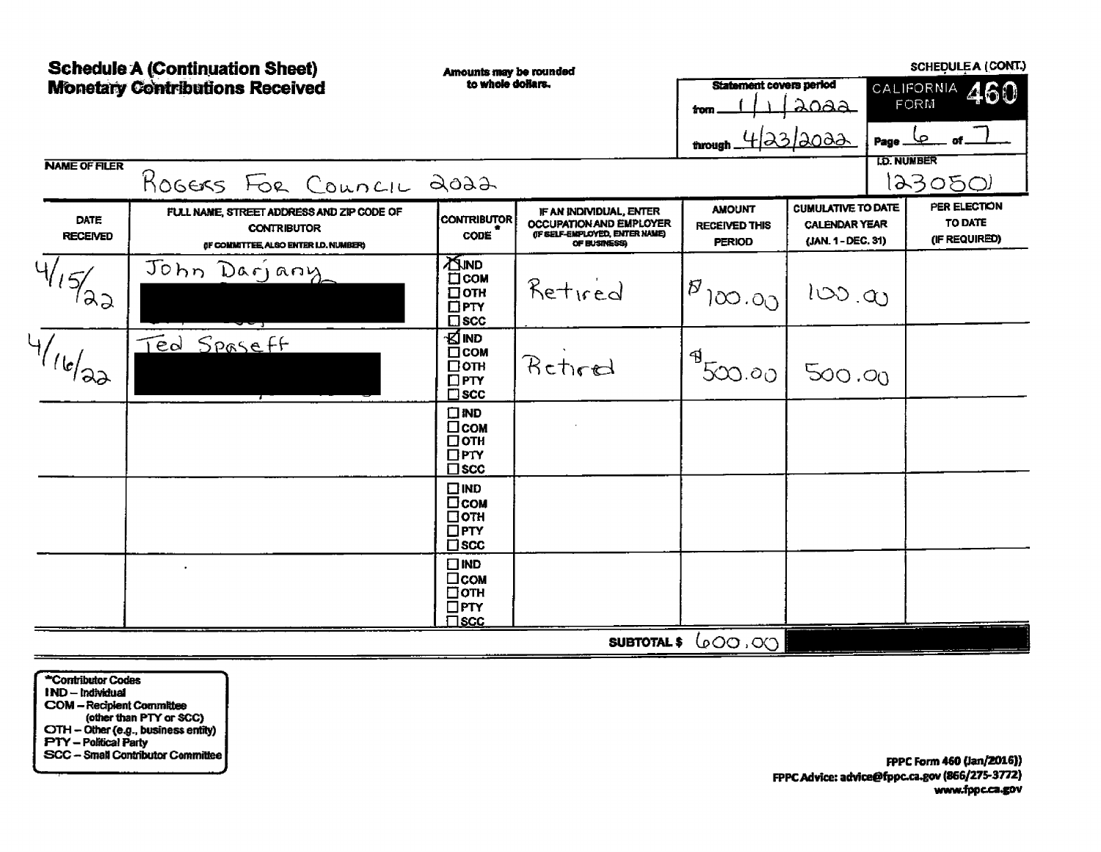|                                | <b>Schedule A (Continuation Sheet)</b><br><b>Monetary Contributions Received</b>                         | Amounts may be rounded<br>to whole dollars.                                   |                                                                                                             | Statement covers period<br>trom<br>through _           | ಎಂಎಎ<br>4/23/2022                                                       | Page _             | <b>SCHEDULE A (CONT.)</b><br>CALIFORNIA<br>460<br>FORM<br>صا |
|--------------------------------|----------------------------------------------------------------------------------------------------------|-------------------------------------------------------------------------------|-------------------------------------------------------------------------------------------------------------|--------------------------------------------------------|-------------------------------------------------------------------------|--------------------|--------------------------------------------------------------|
| <b>NAME OF FILER</b>           | ROGERS FOR COUNCIL 2022                                                                                  |                                                                               |                                                                                                             |                                                        |                                                                         | <b>I.D. NUMBER</b> | 12305O)                                                      |
| <b>DATE</b><br><b>RECEIVED</b> | FULL NAME, STREET ADDRESS AND ZIP CODE OF<br><b>CONTRIBUTOR</b><br>OF COMMITTEE, ALSO ENTER I.D. NUMBER) | <b>CONTRIBUTOR</b><br><b>CODE</b>                                             | IF AN INDIVIDUAL, ENTER<br><b>OCCUPATION AND EMPLOYER</b><br>(IF SELF-EMPLOYED, ENTER NAME)<br>OF BUSINESS) | <b>AMOUNT</b><br><b>RECEIVED THIS</b><br><b>PERIOD</b> | <b>CUMULATIVE TO DATE</b><br><b>CALENDAR YEAR</b><br>(JAN. 1 - DEC. 31) |                    | PER ELECTION<br>TO DATE<br>(IF REQUIRED)                     |
| U7                             | John Darjany                                                                                             | <b>ASIND</b><br>$\square$ COM<br>$\square$ OTH<br>$\Box$ PTY<br>$\square$ scc | Retired                                                                                                     | $1^{\mathcal{B}}$ 100.00                               | 100.00                                                                  |                    |                                                              |
| 16/22                          | Ted Spaseff                                                                                              | รย์เพอ<br>$\Box$ COM<br>□отн<br>$\Box$ PTY<br>$\square$ scc                   | Retired                                                                                                     | B<br>500.00                                            | 500.00                                                                  |                    |                                                              |
|                                |                                                                                                          | $\square$ IND<br>□сом<br>□отн<br>$\square$ PTY<br>$\square$ scc               |                                                                                                             |                                                        |                                                                         |                    |                                                              |
|                                |                                                                                                          | $\square$ IND<br>□сом<br>□отн<br>$\square$ PTY<br>$\square$ scc               |                                                                                                             |                                                        |                                                                         |                    |                                                              |
|                                |                                                                                                          | $\Box$ IND<br>$\Box$ <sub>COM</sub><br>□отн<br>$\square$ PTY<br>$\square$ scc |                                                                                                             |                                                        |                                                                         |                    |                                                              |
|                                |                                                                                                          |                                                                               | <b>SUBTOTAL \$</b>                                                                                          | ပ္ပံတက္ ၁၀                                             |                                                                         |                    |                                                              |

\*Contributor Codes IND-Individual Fru – Individual<br>COM – Recipient Committee<br>(other than PTY or SCC)<br>CTH – Other (e.g., business entity)<br>PTY – Political Party<br>SCC – Small Contributor Committee

FPPC Form 460 (Jan/2016)) FPPC Advice: advice@fppc.ca.gov (866/275-3772) www.fppc.ca.gov